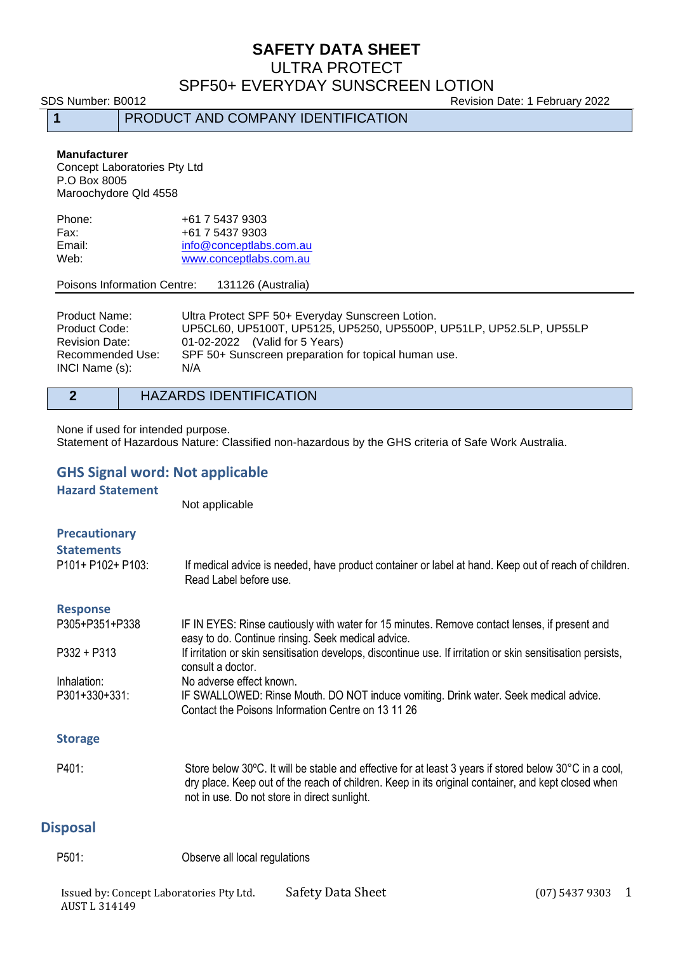ULTRA PROTECT

# SPF50+ EVERYDAY SUNSCREEN LOTION

SDS Number: B0012 Revision Date: 1 February 2022

**1** PRODUCT AND COMPANY IDENTIFICATION

#### **Manufacturer**

Concept Laboratories Pty Ltd P.O Box 8005 Maroochydore Qld 4558

| Phone: | +61 7 5437 9303         |
|--------|-------------------------|
| Fax:   | +61 7 5437 9303         |
| Email: | info@conceptlabs.com.au |
| Web:   | www.conceptlabs.com.au  |

#### Poisons Information Centre: 131126 (Australia)

| <b>Product Name:</b>               | Ultra Protect SPF 50+ Everyday Sunscreen Lotion.                    |
|------------------------------------|---------------------------------------------------------------------|
| Product Code:                      | UP5CL60, UP5100T, UP5125, UP5250, UP5500P, UP51LP, UP52.5LP, UP55LP |
| <b>Revision Date:</b>              | 01-02-2022 (Valid for 5 Years)                                      |
| Recommended Use:<br>INCI Name (s): | SPF 50+ Sunscreen preparation for topical human use.<br>N/A         |

#### **2** HAZARDS IDENTIFICATION

None if used for intended purpose. Statement of Hazardous Nature: Classified non-hazardous by the GHS criteria of Safe Work Australia.

### **GHS Signal word: Not applicable**

**Hazard Statement**

Not applicable

| <b>Precautionary</b><br><b>Statements</b><br>P101+ P102+ P103: | If medical advice is needed, have product container or label at hand. Keep out of reach of children.<br>Read Label before use.                                                                                                                               |
|----------------------------------------------------------------|--------------------------------------------------------------------------------------------------------------------------------------------------------------------------------------------------------------------------------------------------------------|
| <b>Response</b>                                                |                                                                                                                                                                                                                                                              |
| P305+P351+P338                                                 | IF IN EYES: Rinse cautiously with water for 15 minutes. Remove contact lenses, if present and<br>easy to do. Continue rinsing. Seek medical advice.                                                                                                          |
| $P332 + P313$                                                  | If irritation or skin sensitisation develops, discontinue use. If irritation or skin sensitisation persists,<br>consult a doctor.                                                                                                                            |
| Inhalation:                                                    | No adverse effect known.                                                                                                                                                                                                                                     |
| P301+330+331:                                                  | IF SWALLOWED: Rinse Mouth. DO NOT induce vomiting. Drink water. Seek medical advice.<br>Contact the Poisons Information Centre on 13 11 26                                                                                                                   |
| <b>Storage</b>                                                 |                                                                                                                                                                                                                                                              |
| P401:                                                          | Store below 30°C. It will be stable and effective for at least 3 years if stored below 30°C in a cool,<br>dry place. Keep out of the reach of children. Keep in its original container, and kept closed when<br>not in use. Do not store in direct sunlight. |
| ion o o o l                                                    |                                                                                                                                                                                                                                                              |

#### **Disposal**

P501: Observe all local regulations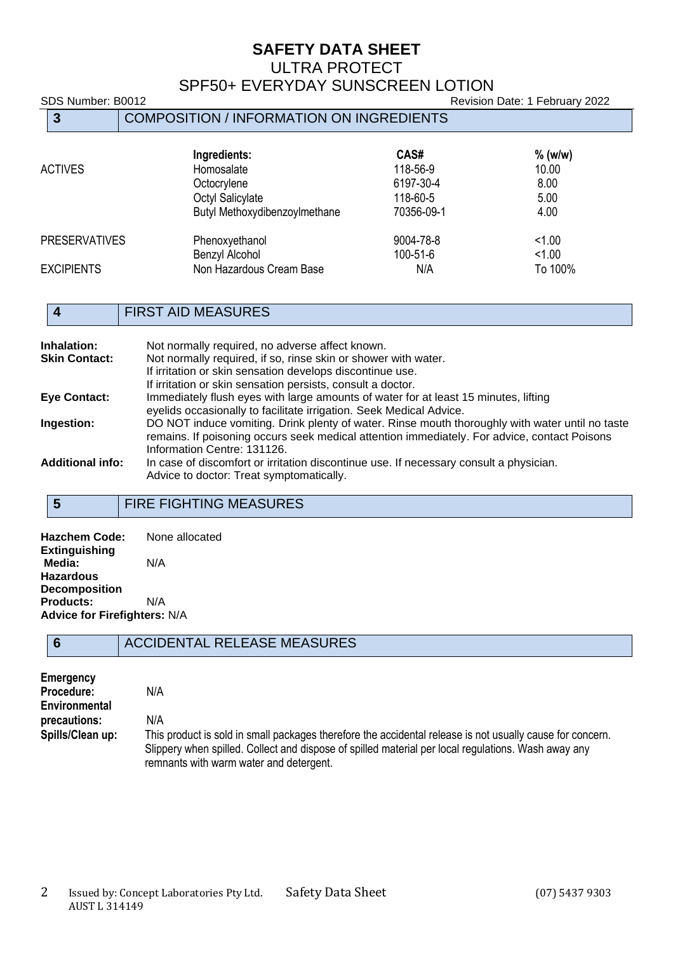#### ULTRA PROTECT

# SPF50+ EVERYDAY SUNSCREEN LOTION

SDS Number: B0012 Revision Date: 1 February 2022

|                      | 3                 | COMPOSITION / INFORMATION ON INGREDIENTS                                                       |                                                         |                                            |
|----------------------|-------------------|------------------------------------------------------------------------------------------------|---------------------------------------------------------|--------------------------------------------|
|                      | <b>ACTIVES</b>    | Ingredients:<br>Homosalate<br>Octocrylene<br>Octyl Salicylate<br>Butyl Methoxydibenzoylmethane | CAS#<br>118-56-9<br>6197-30-4<br>118-60-5<br>70356-09-1 | $%$ (w/w)<br>10.00<br>8.00<br>5.00<br>4.00 |
| <b>PRESERVATIVES</b> |                   | Phenoxyethanol                                                                                 | 9004-78-8                                               | 1.00                                       |
|                      |                   | Benzyl Alcohol                                                                                 | $100 - 51 - 6$                                          | 1.00                                       |
|                      | <b>EXCIPIENTS</b> | Non Hazardous Cream Base                                                                       | N/A                                                     | To 100%                                    |

### **4** FIRST AID MEASURES

| Inhalation:             | Not normally required, no adverse affect known.                                                 |
|-------------------------|-------------------------------------------------------------------------------------------------|
| <b>Skin Contact:</b>    | Not normally required, if so, rinse skin or shower with water.                                  |
|                         | If irritation or skin sensation develops discontinue use.                                       |
|                         | If irritation or skin sensation persists, consult a doctor.                                     |
| <b>Eye Contact:</b>     | Immediately flush eyes with large amounts of water for at least 15 minutes, lifting             |
|                         | eyelids occasionally to facilitate irrigation. Seek Medical Advice.                             |
| Ingestion:              | DO NOT induce vomiting. Drink plenty of water. Rinse mouth thoroughly with water until no taste |
|                         | remains. If poisoning occurs seek medical attention immediately. For advice, contact Poisons    |
|                         | Information Centre: 131126.                                                                     |
| <b>Additional info:</b> | In case of discomfort or irritation discontinue use. If necessary consult a physician.          |
|                         | Advice to doctor: Treat symptomatically.                                                        |

### **5** FIRE FIGHTING MEASURES

**Hazchem Code:** None allocated **Extinguishing Media:** N/A **Hazardous Decomposition Products:** N/A **Advice for Firefighters:** N/A

#### **6** ACCIDENTAL RELEASE MEASURES

| <b>Emergency</b> |                                                                                                                                                                                                                  |
|------------------|------------------------------------------------------------------------------------------------------------------------------------------------------------------------------------------------------------------|
| Procedure:       | N/A                                                                                                                                                                                                              |
| Environmental    |                                                                                                                                                                                                                  |
| precautions:     | N/A                                                                                                                                                                                                              |
| Spills/Clean up: | This product is sold in small packages therefore the accidental release is not usually cause for concern.<br>Slippery when spilled. Collect and dispose of spilled material per local regulations. Wash away any |
|                  | remnants with warm water and detergent.                                                                                                                                                                          |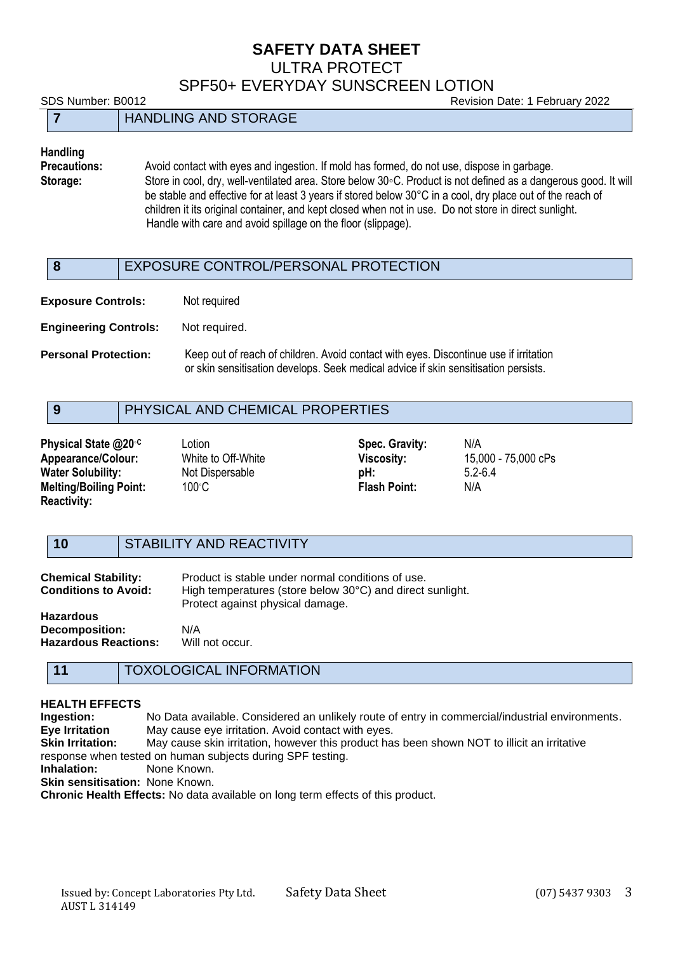ULTRA PROTECT

SPF50+ EVERYDAY SUNSCREEN LOTION

SDS Number: B0012 Revision Date: 1 February 2022 **7** HANDLING AND STORAGE

# **Handling**

**Precautions:** Avoid contact with eyes and ingestion. If mold has formed, do not use, dispose in garbage.<br>**Storage:** Store in cool. drv. well-ventilated area. Store below 30°C. Product is not defined as a dange **Storage:** Store in cool, dry, well-ventilated area. Store below 30◦C. Product is not defined as a dangerous good. It will be stable and effective for at least 3 years if stored below 30°C in a cool, dry place out of the reach of children it its original container, and kept closed when not in use. Do not store in direct sunlight. Handle with care and avoid spillage on the floor (slippage).

#### **8** EXPOSURE CONTROL/PERSONAL PROTECTION

**Exposure Controls:** Not required

**Engineering Controls:** Not required.

**Personal Protection:** Keep out of reach of children. Avoid contact with eyes. Discontinue use if irritation or skin sensitisation develops. Seek medical advice if skin sensitisation persists.

### **9** PHYSICAL AND CHEMICAL PROPERTIES

**Physical State @20<sup>°</sup><sup>C</sup> Lotion <b>CON** CONSIDER **Spec. Gravity:** N/A **Appearance/Colour:** White to Off-White **Viscosity:** 15,000 - 75,000 cPs **Water Solubility:** Not Dispersable **pH:** 5.2-6.4 **Melting/Boiling Point:** 100℃ **Flash Point:** N/A **Reactivity:**

#### **10** STABILITY AND REACTIVITY

| <b>Chemical Stability:</b><br><b>Conditions to Avoid:</b> | Product is stable under normal conditions of use.<br>High temperatures (store below 30°C) and direct sunlight.<br>Protect against physical damage. |
|-----------------------------------------------------------|----------------------------------------------------------------------------------------------------------------------------------------------------|
| Hazardous                                                 |                                                                                                                                                    |
| <b>Decomposition:</b>                                     | N/A                                                                                                                                                |
| Hazardous Reactions:                                      | Will not occur.                                                                                                                                    |

#### **11** TOXOLOGICAL INFORMATION

# **HEALTH EFFECTS**

**Ingestion:** No Data available. Considered an unlikely route of entry in commercial/industrial environments. **Eye Irritation** May cause eye irritation. Avoid contact with eyes. **Skin Irritation:** May cause skin irritation, however this product has been shown NOT to illicit an irritative response when tested on human subjects during SPF testing. **Inhalation:** None Known. **Skin sensitisation:** None Known.

**Chronic Health Effects:** No data available on long term effects of this product.